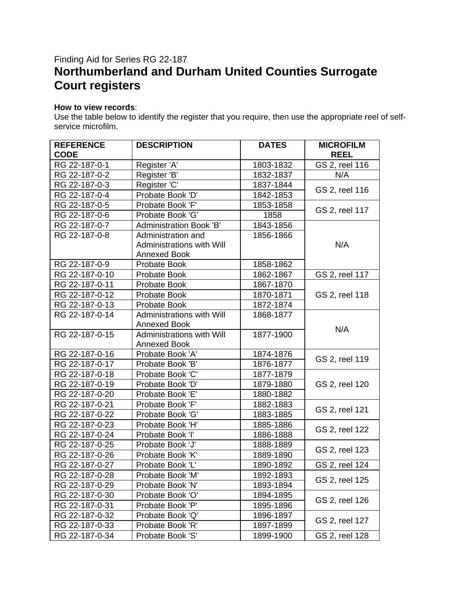## Finding Aid for Series RG 22-187 **Northumberland and Durham United Counties Surrogate Court registers**

## **How to view records**:

Use the table below to identify the register that you require, then use the appropriate reel of selfservice microfilm.

| <b>REFERENCE</b><br><b>CODE</b> | <b>DESCRIPTION</b>               | <b>DATES</b> | <b>MICROFILM</b><br><b>REEL</b> |
|---------------------------------|----------------------------------|--------------|---------------------------------|
| RG 22-187-0-1                   | Register 'A'                     | 1803-1832    | GS 2, reel 116                  |
| RG 22-187-0-2                   | Register 'B'                     | 1832-1837    | N/A                             |
| RG 22-187-0-3                   | Register 'C'                     | 1837-1844    |                                 |
| RG 22-187-0-4                   | Probate Book 'D'                 | 1842-1853    | GS 2, reel 116                  |
| RG 22-187-0-5                   | Probate Book 'F'                 | 1853-1858    |                                 |
| RG 22-187-0-6                   | Probate Book 'G'                 | 1858         | GS 2, reel 117                  |
| RG 22-187-0-7                   | <b>Administration Book 'B'</b>   | 1843-1856    |                                 |
| RG 22-187-0-8                   | Administration and               | 1856-1866    |                                 |
|                                 | <b>Administrations with Will</b> |              | N/A                             |
|                                 | <b>Annexed Book</b>              |              |                                 |
| RG 22-187-0-9                   | Probate Book                     | 1858-1862    |                                 |
| RG 22-187-0-10                  | Probate Book                     | 1862-1867    | GS 2, reel 117                  |
| RG 22-187-0-11                  | Probate Book                     | 1867-1870    |                                 |
| RG 22-187-0-12                  | Probate Book                     | 1870-1871    | GS 2, reel 118                  |
| RG 22-187-0-13                  | Probate Book                     | 1872-1874    |                                 |
| RG 22-187-0-14                  | Administrations with Will        | 1868-1877    |                                 |
|                                 | <b>Annexed Book</b>              |              | N/A                             |
| RG 22-187-0-15                  | Administrations with Will        | 1877-1900    |                                 |
|                                 | <b>Annexed Book</b>              |              |                                 |
| RG 22-187-0-16                  | Probate Book 'A'                 | 1874-1876    | GS 2, reel 119                  |
| RG 22-187-0-17                  | Probate Book 'B'                 | 1876-1877    |                                 |
| RG 22-187-0-18                  | Probate Book 'C'                 | 1877-1879    |                                 |
| RG 22-187-0-19                  | Probate Book 'D'                 | 1879-1880    | GS 2, reel 120                  |
| RG 22-187-0-20                  | Probate Book 'E'                 | 1880-1882    |                                 |
| RG 22-187-0-21                  | Probate Book 'F'                 | 1882-1883    | GS 2, reel 121                  |
| RG 22-187-0-22                  | Probate Book 'G'                 | 1883-1885    |                                 |
| RG 22-187-0-23                  | Probate Book 'H'                 | 1885-1886    | GS 2, reel 122                  |
| RG 22-187-0-24                  | Probate Book 'I'                 | 1886-1888    |                                 |
| RG 22-187-0-25                  | Probate Book 'J'                 | 1888-1889    | GS 2, reel 123                  |
| RG 22-187-0-26                  | Probate Book 'K'                 | 1889-1890    |                                 |
| RG 22-187-0-27                  | Probate Book 'L'                 | 1890-1892    | GS 2, reel 124                  |
| RG 22-187-0-28                  | Probate Book 'M'                 | 1892-1893    | GS 2, reel 125                  |
| RG 22-187-0-29                  | Probate Book 'N'                 | 1893-1894    |                                 |
| RG 22-187-0-30                  | Probate Book 'O'                 | 1894-1895    | GS 2, reel 126                  |
| RG 22-187-0-31                  | Probate Book 'P'                 | 1895-1896    |                                 |
| RG 22-187-0-32                  | Probate Book 'Q'                 | 1896-1897    | GS 2, reel 127                  |
| RG 22-187-0-33                  | Probate Book 'R'                 | 1897-1899    |                                 |
| RG 22-187-0-34                  | Probate Book 'S'                 | 1899-1900    | GS 2, reel 128                  |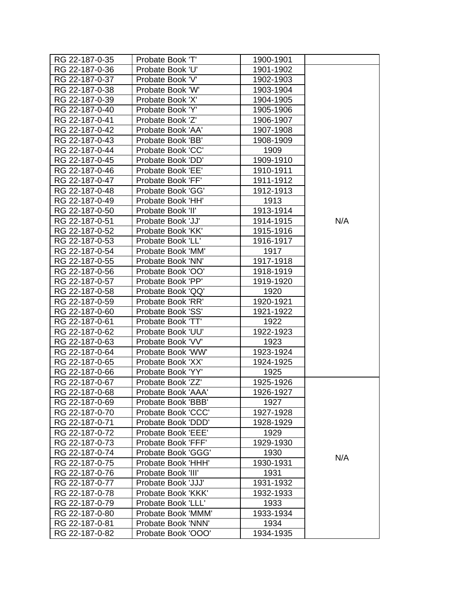| RG 22-187-0-35 | Probate Book 'T'   | 1900-1901 |     |
|----------------|--------------------|-----------|-----|
| RG 22-187-0-36 | Probate Book 'U'   | 1901-1902 |     |
| RG 22-187-0-37 | Probate Book 'V'   | 1902-1903 |     |
| RG 22-187-0-38 | Probate Book 'W'   | 1903-1904 |     |
| RG 22-187-0-39 | Probate Book 'X'   | 1904-1905 |     |
| RG 22-187-0-40 | Probate Book 'Y'   | 1905-1906 |     |
| RG 22-187-0-41 | Probate Book 'Z'   | 1906-1907 |     |
| RG 22-187-0-42 | Probate Book 'AA'  | 1907-1908 |     |
| RG 22-187-0-43 | Probate Book 'BB'  | 1908-1909 |     |
| RG 22-187-0-44 | Probate Book 'CC'  | 1909      |     |
| RG 22-187-0-45 | Probate Book 'DD'  | 1909-1910 |     |
| RG 22-187-0-46 | Probate Book 'EE'  | 1910-1911 |     |
| RG 22-187-0-47 | Probate Book 'FF'  | 1911-1912 |     |
| RG 22-187-0-48 | Probate Book 'GG'  | 1912-1913 |     |
| RG 22-187-0-49 | Probate Book 'HH'  | 1913      |     |
| RG 22-187-0-50 | Probate Book 'II'  | 1913-1914 |     |
| RG 22-187-0-51 | Probate Book 'JJ'  | 1914-1915 | N/A |
| RG 22-187-0-52 | Probate Book 'KK'  | 1915-1916 |     |
| RG 22-187-0-53 | Probate Book 'LL'  | 1916-1917 |     |
| RG 22-187-0-54 | Probate Book 'MM'  | 1917      |     |
| RG 22-187-0-55 | Probate Book 'NN'  | 1917-1918 |     |
| RG 22-187-0-56 | Probate Book 'OO'  | 1918-1919 |     |
| RG 22-187-0-57 | Probate Book 'PP'  | 1919-1920 |     |
| RG 22-187-0-58 | Probate Book 'QQ'  | 1920      |     |
| RG 22-187-0-59 | Probate Book 'RR'  | 1920-1921 |     |
| RG 22-187-0-60 | Probate Book 'SS'  | 1921-1922 |     |
| RG 22-187-0-61 | Probate Book 'TT'  | 1922      |     |
| RG 22-187-0-62 | Probate Book 'UU'  | 1922-1923 |     |
| RG 22-187-0-63 | Probate Book 'VV'  | 1923      |     |
| RG 22-187-0-64 | Probate Book 'WW'  | 1923-1924 |     |
| RG 22-187-0-65 | Probate Book 'XX'  | 1924-1925 |     |
| RG 22-187-0-66 | Probate Book 'YY'  | 1925      |     |
| RG 22-187-0-67 | Probate Book 'ZZ'  | 1925-1926 |     |
| RG 22-187-0-68 | Probate Book 'AAA' | 1926-1927 |     |
| RG 22-187-0-69 | Probate Book 'BBB' | 1927      |     |
| RG 22-187-0-70 | Probate Book 'CCC' | 1927-1928 |     |
| RG 22-187-0-71 | Probate Book 'DDD' | 1928-1929 |     |
| RG 22-187-0-72 | Probate Book 'EEE' | 1929      |     |
| RG 22-187-0-73 | Probate Book 'FFF' | 1929-1930 |     |
| RG 22-187-0-74 | Probate Book 'GGG' | 1930      | N/A |
| RG 22-187-0-75 | Probate Book 'HHH' | 1930-1931 |     |
| RG 22-187-0-76 | Probate Book 'III' | 1931      |     |
| RG 22-187-0-77 | Probate Book 'JJJ' | 1931-1932 |     |
| RG 22-187-0-78 | Probate Book 'KKK' | 1932-1933 |     |
| RG 22-187-0-79 | Probate Book 'LLL' | 1933      |     |
| RG 22-187-0-80 | Probate Book 'MMM' | 1933-1934 |     |
| RG 22-187-0-81 | Probate Book 'NNN' | 1934      |     |
| RG 22-187-0-82 | Probate Book 'OOO' | 1934-1935 |     |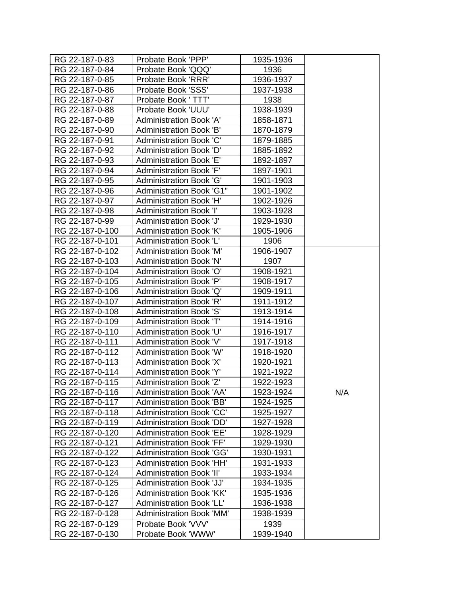| RG 22-187-0-83  | Probate Book 'PPP'              | 1935-1936 |     |
|-----------------|---------------------------------|-----------|-----|
| RG 22-187-0-84  | Probate Book 'QQQ'              | 1936      |     |
| RG 22-187-0-85  | Probate Book 'RRR'              | 1936-1937 |     |
| RG 22-187-0-86  | Probate Book 'SSS'              | 1937-1938 |     |
| RG 22-187-0-87  | Probate Book ' TTT'             | 1938      |     |
| RG 22-187-0-88  | Probate Book 'UUU'              | 1938-1939 |     |
| RG 22-187-0-89  | <b>Administration Book 'A'</b>  | 1858-1871 |     |
| RG 22-187-0-90  | Administration Book 'B'         | 1870-1879 |     |
| RG 22-187-0-91  | <b>Administration Book 'C'</b>  | 1879-1885 |     |
| RG 22-187-0-92  | Administration Book 'D'         | 1885-1892 |     |
| RG 22-187-0-93  | <b>Administration Book 'E'</b>  | 1892-1897 |     |
| RG 22-187-0-94  | Administration Book 'F'         | 1897-1901 |     |
| RG 22-187-0-95  | <b>Administration Book 'G'</b>  | 1901-1903 |     |
| RG 22-187-0-96  | <b>Administration Book 'G1"</b> | 1901-1902 |     |
| RG 22-187-0-97  | <b>Administration Book 'H'</b>  | 1902-1926 |     |
| RG 22-187-0-98  | <b>Administration Book 'I'</b>  | 1903-1928 |     |
| RG 22-187-0-99  | <b>Administration Book 'J'</b>  | 1929-1930 |     |
| RG 22-187-0-100 | <b>Administration Book 'K'</b>  | 1905-1906 |     |
| RG 22-187-0-101 | Administration Book 'L'         | 1906      |     |
| RG 22-187-0-102 | <b>Administration Book 'M'</b>  | 1906-1907 |     |
| RG 22-187-0-103 | <b>Administration Book 'N'</b>  | 1907      |     |
| RG 22-187-0-104 | <b>Administration Book 'O'</b>  | 1908-1921 |     |
| RG 22-187-0-105 | Administration Book 'P'         | 1908-1917 |     |
| RG 22-187-0-106 | Administration Book 'Q'         | 1909-1911 |     |
| RG 22-187-0-107 | <b>Administration Book 'R'</b>  | 1911-1912 |     |
| RG 22-187-0-108 | <b>Administration Book 'S'</b>  | 1913-1914 |     |
| RG 22-187-0-109 | Administration Book 'T'         | 1914-1916 |     |
| RG 22-187-0-110 | <b>Administration Book 'U'</b>  | 1916-1917 |     |
| RG 22-187-0-111 | <b>Administration Book 'V'</b>  | 1917-1918 |     |
| RG 22-187-0-112 | <b>Administration Book 'W'</b>  | 1918-1920 |     |
| RG 22-187-0-113 | <b>Administration Book 'X'</b>  | 1920-1921 |     |
| RG 22-187-0-114 | <b>Administration Book 'Y'</b>  | 1921-1922 |     |
| RG 22-187-0-115 | Administration Book 'Z'         | 1922-1923 |     |
| RG 22-187-0-116 | Administration Book 'AA'        | 1923-1924 | N/A |
| RG 22-187-0-117 | <b>Administration Book 'BB'</b> | 1924-1925 |     |
| RG 22-187-0-118 | <b>Administration Book 'CC'</b> | 1925-1927 |     |
| RG 22-187-0-119 | <b>Administration Book 'DD'</b> | 1927-1928 |     |
| RG 22-187-0-120 | <b>Administration Book 'EE'</b> | 1928-1929 |     |
| RG 22-187-0-121 | <b>Administration Book 'FF'</b> | 1929-1930 |     |
| RG 22-187-0-122 | <b>Administration Book 'GG'</b> | 1930-1931 |     |
| RG 22-187-0-123 | <b>Administration Book 'HH'</b> | 1931-1933 |     |
| RG 22-187-0-124 | <b>Administration Book 'II'</b> | 1933-1934 |     |
| RG 22-187-0-125 | <b>Administration Book 'JJ'</b> | 1934-1935 |     |
| RG 22-187-0-126 | <b>Administration Book 'KK'</b> | 1935-1936 |     |
| RG 22-187-0-127 | <b>Administration Book 'LL'</b> | 1936-1938 |     |
| RG 22-187-0-128 | <b>Administration Book 'MM'</b> | 1938-1939 |     |
| RG 22-187-0-129 | Probate Book 'VVV'              | 1939      |     |
| RG 22-187-0-130 | Probate Book 'WWW'              | 1939-1940 |     |